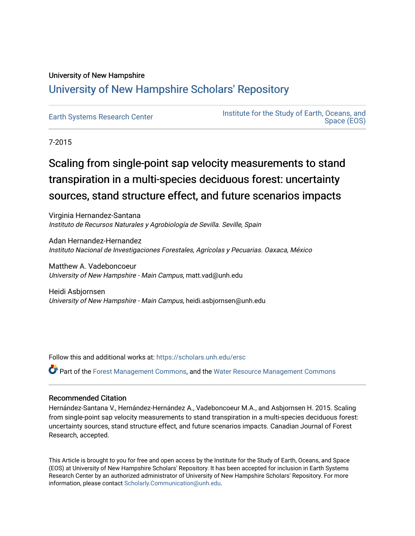# University of New Hampshire [University of New Hampshire Scholars' Repository](https://scholars.unh.edu/)

[Earth Systems Research Center](https://scholars.unh.edu/ersc) Institute for the Study of Earth, Oceans, and [Space \(EOS\)](https://scholars.unh.edu/eos) 

7-2015

# Scaling from single-point sap velocity measurements to stand transpiration in a multi-species deciduous forest: uncertainty sources, stand structure effect, and future scenarios impacts

Virginia Hernandez-Santana Instituto de Recursos Naturales y Agrobiología de Sevilla. Seville, Spain

Adan Hernandez-Hernandez Instituto Nacional de Investigaciones Forestales, Agrícolas y Pecuarias. Oaxaca, México

Matthew A. Vadeboncoeur University of New Hampshire - Main Campus, matt.vad@unh.edu

Heidi Asbjornsen University of New Hampshire - Main Campus, heidi.asbjornsen@unh.edu

Follow this and additional works at: [https://scholars.unh.edu/ersc](https://scholars.unh.edu/ersc?utm_source=scholars.unh.edu%2Fersc%2F27&utm_medium=PDF&utm_campaign=PDFCoverPages) 

Part of the [Forest Management Commons](http://network.bepress.com/hgg/discipline/92?utm_source=scholars.unh.edu%2Fersc%2F27&utm_medium=PDF&utm_campaign=PDFCoverPages), and the [Water Resource Management Commons](http://network.bepress.com/hgg/discipline/1057?utm_source=scholars.unh.edu%2Fersc%2F27&utm_medium=PDF&utm_campaign=PDFCoverPages) 

# Recommended Citation

Hernández-Santana V., Hernández-Hernández A., Vadeboncoeur M.A., and Asbjornsen H. 2015. Scaling from single-point sap velocity measurements to stand transpiration in a multi-species deciduous forest: uncertainty sources, stand structure effect, and future scenarios impacts. Canadian Journal of Forest Research, accepted.

This Article is brought to you for free and open access by the Institute for the Study of Earth, Oceans, and Space (EOS) at University of New Hampshire Scholars' Repository. It has been accepted for inclusion in Earth Systems Research Center by an authorized administrator of University of New Hampshire Scholars' Repository. For more information, please contact [Scholarly.Communication@unh.edu.](mailto:Scholarly.Communication@unh.edu)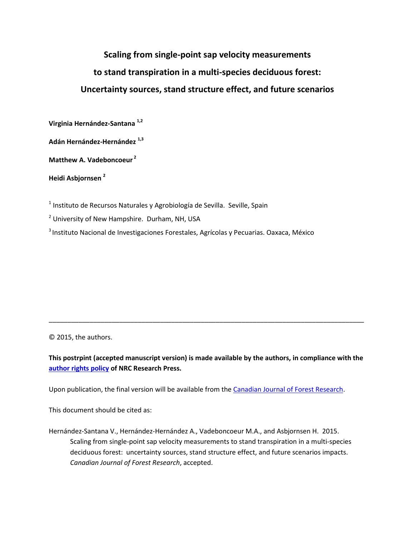# **Scaling from single-point sap velocity measurements to stand transpiration in a multi-species deciduous forest: Uncertainty sources, stand structure effect, and future scenarios**

**Virginia Hernández-Santana 1,2**

**Adán Hernández-Hernández 1,3**

**Matthew A. Vadeboncoeur <sup>2</sup>**

**Heidi Asbjornsen <sup>2</sup>**

<sup>1</sup> Instituto de Recursos Naturales y Agrobiología de Sevilla. Seville, Spain

<sup>2</sup> University of New Hampshire. Durham, NH, USA

<sup>3</sup> Instituto Nacional de Investigaciones Forestales, Agrícolas y Pecuarias. Oaxaca, México

© 2015, the authors.

**This postrpint (accepted manuscript version) is made available by the authors, in compliance with the [author rights policy](http://www.nrcresearchpress.com/page/authors/information/rights) of NRC Research Press.**

\_\_\_\_\_\_\_\_\_\_\_\_\_\_\_\_\_\_\_\_\_\_\_\_\_\_\_\_\_\_\_\_\_\_\_\_\_\_\_\_\_\_\_\_\_\_\_\_\_\_\_\_\_\_\_\_\_\_\_\_\_\_\_\_\_\_\_\_\_\_\_\_\_\_\_\_\_\_\_\_\_\_\_\_\_

Upon publication, the final version will be available from the [Canadian Journal of Forest Research.](http://www.nrcresearchpress.com/journal/cjfr)

This document should be cited as:

Hernández-Santana V., Hernández-Hernández A., Vadeboncoeur M.A., and Asbjornsen H. 2015. Scaling from single-point sap velocity measurements to stand transpiration in a multi-species deciduous forest: uncertainty sources, stand structure effect, and future scenarios impacts. *Canadian Journal of Forest Research*, accepted.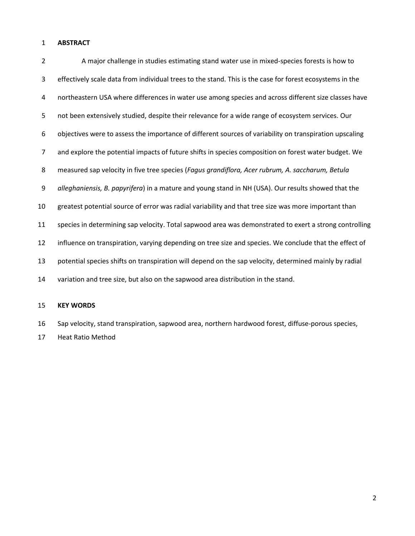# **ABSTRACT**

| $\overline{2}$ | A major challenge in studies estimating stand water use in mixed-species forests is how to               |
|----------------|----------------------------------------------------------------------------------------------------------|
| 3              | effectively scale data from individual trees to the stand. This is the case for forest ecosystems in the |
| 4              | northeastern USA where differences in water use among species and across different size classes have     |
| 5              | not been extensively studied, despite their relevance for a wide range of ecosystem services. Our        |
| 6              | objectives were to assess the importance of different sources of variability on transpiration upscaling  |
| 7              | and explore the potential impacts of future shifts in species composition on forest water budget. We     |
| 8              | measured sap velocity in five tree species (Fagus grandiflora, Acer rubrum, A. saccharum, Betula         |
| 9              | alleghaniensis, B. papyrifera) in a mature and young stand in NH (USA). Our results showed that the      |
| 10             | greatest potential source of error was radial variability and that tree size was more important than     |
| 11             | species in determining sap velocity. Total sapwood area was demonstrated to exert a strong controlling   |
| 12             | influence on transpiration, varying depending on tree size and species. We conclude that the effect of   |
| 13             | potential species shifts on transpiration will depend on the sap velocity, determined mainly by radial   |
| 14             | variation and tree size, but also on the sapwood area distribution in the stand.                         |

# **KEY WORDS**

 Sap velocity, stand transpiration, sapwood area, northern hardwood forest, diffuse-porous species, Heat Ratio Method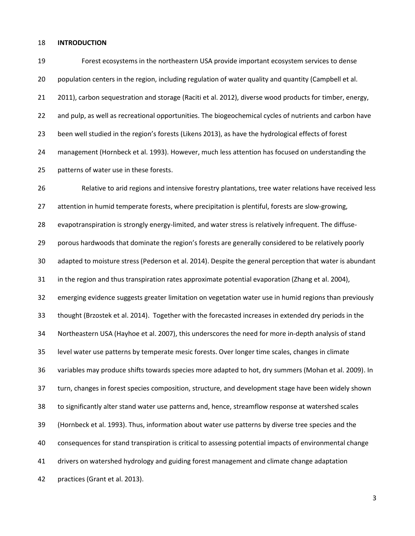#### **INTRODUCTION**

 Forest ecosystems in the northeastern USA provide important ecosystem services to dense population centers in the region, including regulation of water quality and quantity (Campbell et al. 2011), carbon sequestration and storage (Raciti et al. 2012), diverse wood products for timber, energy, 22 and pulp, as well as recreational opportunities. The biogeochemical cycles of nutrients and carbon have been well studied in the region's forests (Likens 2013), as have the hydrological effects of forest management (Hornbeck et al. 1993). However, much less attention has focused on understanding the patterns of water use in these forests.

 Relative to arid regions and intensive forestry plantations, tree water relations have received less attention in humid temperate forests, where precipitation is plentiful, forests are slow-growing, evapotranspiration is strongly energy-limited, and water stress is relatively infrequent. The diffuse- porous hardwoods that dominate the region's forests are generally considered to be relatively poorly adapted to moisture stress (Pederson et al. 2014). Despite the general perception that water is abundant 31 in the region and thus transpiration rates approximate potential evaporation (Zhang et al. 2004), emerging evidence suggests greater limitation on vegetation water use in humid regions than previously thought (Brzostek et al. 2014). Together with the forecasted increases in extended dry periods in the Northeastern USA (Hayhoe et al. 2007), this underscores the need for more in-depth analysis of stand level water use patterns by temperate mesic forests. Over longer time scales, changes in climate variables may produce shifts towards species more adapted to hot, dry summers (Mohan et al. 2009). In turn, changes in forest species composition, structure, and development stage have been widely shown to significantly alter stand water use patterns and, hence, streamflow response at watershed scales (Hornbeck et al. 1993). Thus, information about water use patterns by diverse tree species and the consequences for stand transpiration is critical to assessing potential impacts of environmental change drivers on watershed hydrology and guiding forest management and climate change adaptation practices (Grant et al. 2013).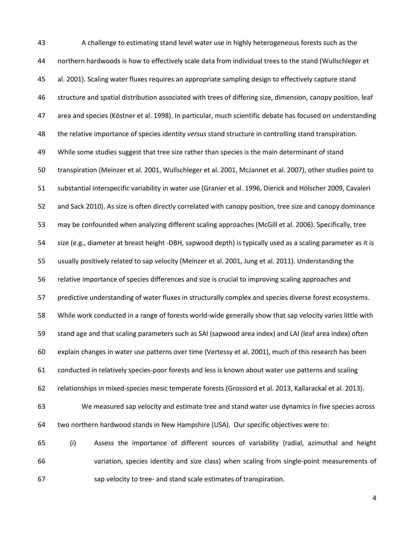A challenge to estimating stand level water use in highly heterogeneous forests such as the northern hardwoods is how to effectively scale data from individual trees to the stand (Wullschleger et al. 2001). Scaling water fluxes requires an appropriate sampling design to effectively capture stand structure and spatial distribution associated with trees of differing size, dimension, canopy position, leaf area and species (Köstner et al. 1998). In particular, much scientific debate has focused on understanding the relative importance of species identity *versus* stand structure in controlling stand transpiration. 49 While some studies suggest that tree size rather than species is the main determinant of stand transpiration (Meinzer et al. 2001, Wullschleger et al. 2001, McJannet et al. 2007), other studies point to substantial interspecific variability in water use (Granier et al. 1996, Dierick and Hölscher 2009, Cavaleri and Sack 2010). As size is often directly correlated with canopy position, tree size and canopy dominance may be confounded when analyzing different scaling approaches (McGill et al. 2006). Specifically, tree size (e.g., diameter at breast height -DBH, sapwood depth) is typically used as a scaling parameter as it is usually positively related to sap velocity (Meinzer et al. 2001, Jung et al. 2011). Understanding the relative importance of species differences and size is crucial to improving scaling approaches and predictive understanding of water fluxes in structurally complex and species diverse forest ecosystems. While work conducted in a range of forests world-wide generally show that sap velocity varies little with stand age and that scaling parameters such as SAI (sapwood area index) and LAI (leaf area index) often explain changes in water use patterns over time (Vertessy et al. 2001), much of this research has been conducted in relatively species-poor forests and less is known about water use patterns and scaling relationships in mixed-species mesic temperate forests (Grossiord et al. 2013, Kallarackal et al. 2013). We measured sap velocity and estimate tree and stand water use dynamics in five species across two northern hardwood stands in New Hampshire (USA). Our specific objectives were to: (i) Assess the importance of different sources of variability (radial, azimuthal and height variation, species identity and size class) when scaling from single-point measurements of sap velocity to tree- and stand scale estimates of transpiration.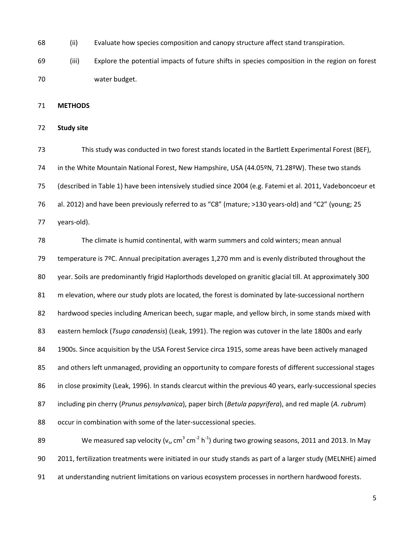(ii) Evaluate how species composition and canopy structure affect stand transpiration.

 (iii) Explore the potential impacts of future shifts in species composition in the region on forest water budget.

**METHODS**

# **Study site**

 This study was conducted in two forest stands located in the Bartlett Experimental Forest (BEF), in the White Mountain National Forest, New Hampshire, USA (44.05ºN, 71.28ºW). These two stands (described in Table 1) have been intensively studied since 2004 (e.g. Fatemi et al. 2011, Vadeboncoeur et al. 2012) and have been previously referred to as "C8" (mature; >130 years-old) and "C2" (young; 25 years-old).

 The climate is humid continental, with warm summers and cold winters; mean annual temperature is 7ºC. Annual precipitation averages 1,270 mm and is evenly distributed throughout the year. Soils are predominantly frigid Haplorthods developed on granitic glacial till. At approximately 300 m elevation, where our study plots are located, the forest is dominated by late-successional northern hardwood species including American beech, sugar maple, and yellow birch, in some stands mixed with eastern hemlock (*Tsuga canadensis*) (Leak, 1991). The region was cutover in the late 1800s and early 1900s. Since acquisition by the USA Forest Service circa 1915, some areas have been actively managed and others left unmanaged, providing an opportunity to compare forests of different successional stages in close proximity (Leak, 1996). In stands clearcut within the previous 40 years, early-successional species including pin cherry (*Prunus pensylvanica*), paper birch (*Betula papyrifera*), and red maple (*A. rubrum*) occur in combination with some of the later-successional species. 89 We measured sap velocity ( $v_s$ , cm<sup>3</sup> cm<sup>-2</sup> h<sup>-1</sup>) during two growing seasons, 2011 and 2013. In May 2011, fertilization treatments were initiated in our study stands as part of a larger study (MELNHE) aimed

at understanding nutrient limitations on various ecosystem processes in northern hardwood forests.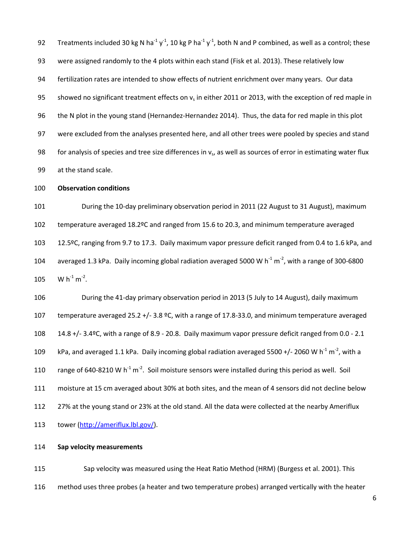92 Treatments included 30 kg N ha<sup>-1</sup> y<sup>-1</sup>, 10 kg P ha<sup>-1</sup> y<sup>-1</sup>, both N and P combined, as well as a control; these were assigned randomly to the 4 plots within each stand (Fisk et al. 2013). These relatively low fertilization rates are intended to show effects of nutrient enrichment over many years. Our data 95 showed no significant treatment effects on  $v_s$  in either 2011 or 2013, with the exception of red maple in the N plot in the young stand (Hernandez-Hernandez 2014). Thus, the data for red maple in this plot were excluded from the analyses presented here, and all other trees were pooled by species and stand 98 for analysis of species and tree size differences in  $v<sub>s</sub>$ , as well as sources of error in estimating water flux at the stand scale.

# **Observation conditions**

 During the 10-day preliminary observation period in 2011 (22 August to 31 August), maximum temperature averaged 18.2ºC and ranged from 15.6 to 20.3, and minimum temperature averaged 12.5ºC, ranging from 9.7 to 17.3. Daily maximum vapor pressure deficit ranged from 0.4 to 1.6 kPa, and 104 averaged 1.3 kPa. Daily incoming global radiation averaged 5000 W h<sup>-1</sup> m<sup>-2</sup>, with a range of 300-6800 105 W  $h^{-1}$  m<sup>-2</sup>.

 During the 41-day primary observation period in 2013 (5 July to 14 August), daily maximum temperature averaged 25.2 +/- 3.8 ºC, with a range of 17.8-33.0, and minimum temperature averaged 14.8 +/- 3.4ºC, with a range of 8.9 - 20.8. Daily maximum vapor pressure deficit ranged from 0.0 - 2.1 109 kPa, and averaged 1.1 kPa. Daily incoming global radiation averaged 5500 +/- 2060 W h<sup>-1</sup> m<sup>-2</sup>, with a 110 range of 640-8210 W h<sup>-1</sup> m<sup>-2</sup>. Soil moisture sensors were installed during this period as well. Soil moisture at 15 cm averaged about 30% at both sites, and the mean of 4 sensors did not decline below 27% at the young stand or 23% at the old stand. All the data were collected at the nearby Ameriflux tower [\(http://ameriflux.lbl.gov/\)](http://ameriflux.lbl.gov/).

# **Sap velocity measurements**

 Sap velocity was measured using the Heat Ratio Method (HRM) (Burgess et al. 2001). This method uses three probes (a heater and two temperature probes) arranged vertically with the heater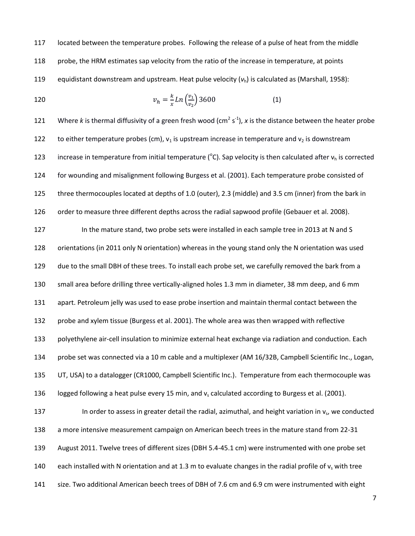117 located between the temperature probes. Following the release of a pulse of heat from the middle 118 probe, the HRM estimates sap velocity from the ratio of the increase in temperature, at points 119 equidistant downstream and upstream. Heat pulse velocity  $(v_h)$  is calculated as (Marshall, 1958):

120 
$$
v_h = \frac{k}{x} Ln\left(\frac{v_1}{v_2}\right) 3600 \tag{1}
$$

121 Where k is thermal diffusivity of a green fresh wood (cm<sup>2</sup> s<sup>-1</sup>), x is the distance between the heater probe 122 to either temperature probes (cm),  $v_1$  is upstream increase in temperature and  $v_2$  is downstream 123 increase in temperature from initial temperature ( $^{\circ}$ C). Sap velocity is then calculated after  $v_h$  is corrected for wounding and misalignment following Burgess et al. (2001). Each temperature probe consisted of three thermocouples located at depths of 1.0 (outer), 2.3 (middle) and 3.5 cm (inner) from the bark in 126 order to measure three different depths across the radial sapwood profile (Gebauer et al. 2008). 127 In the mature stand, two probe sets were installed in each sample tree in 2013 at N and S orientations (in 2011 only N orientation) whereas in the young stand only the N orientation was used due to the small DBH of these trees. To install each probe set, we carefully removed the bark from a small area before drilling three vertically-aligned holes 1.3 mm in diameter, 38 mm deep, and 6 mm apart. Petroleum jelly was used to ease probe insertion and maintain thermal contact between the probe and xylem tissue (Burgess et al. 2001). The whole area was then wrapped with reflective polyethylene air-cell insulation to minimize external heat exchange via radiation and conduction. Each probe set was connected via a 10 m cable and a multiplexer (AM 16/32B, Campbell Scientific Inc., Logan, UT, USA) to a datalogger (CR1000, Campbell Scientific Inc.). Temperature from each thermocouple was 136 logged following a heat pulse every 15 min, and  $v_s$  calculated according to Burgess et al. (2001). **In order to assess in greater detail the radial, azimuthal, and height variation in**  $v_s$ **, we conducted**  a more intensive measurement campaign on American beech trees in the mature stand from 22-31 August 2011. Twelve trees of different sizes (DBH 5.4-45.1 cm) were instrumented with one probe set 140 each installed with N orientation and at 1.3 m to evaluate changes in the radial profile of  $v_s$  with tree size. Two additional American beech trees of DBH of 7.6 cm and 6.9 cm were instrumented with eight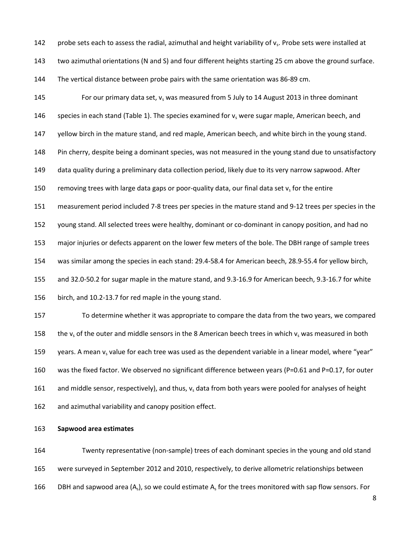142 probe sets each to assess the radial, azimuthal and height variability of  $v_s$ . Probe sets were installed at

two azimuthal orientations (N and S) and four different heights starting 25 cm above the ground surface.

The vertical distance between probe pairs with the same orientation was 86-89 cm.

145 For our primary data set,  $v_s$  was measured from 5 July to 14 August 2013 in three dominant 146 species in each stand (Table 1). The species examined for  $v<sub>s</sub>$  were sugar maple, American beech, and

147 yellow birch in the mature stand, and red maple, American beech, and white birch in the young stand.

Pin cherry, despite being a dominant species, was not measured in the young stand due to unsatisfactory

data quality during a preliminary data collection period, likely due to its very narrow sapwood. After

150 removing trees with large data gaps or poor-quality data, our final data set  $v_s$  for the entire

measurement period included 7-8 trees per species in the mature stand and 9-12 trees per species in the

young stand. All selected trees were healthy, dominant or co-dominant in canopy position, and had no

major injuries or defects apparent on the lower few meters of the bole. The DBH range of sample trees

was similar among the species in each stand: 29.4-58.4 for American beech, 28.9-55.4 for yellow birch,

and 32.0-50.2 for sugar maple in the mature stand, and 9.3-16.9 for American beech, 9.3-16.7 for white

birch, and 10.2-13.7 for red maple in the young stand.

 To determine whether it was appropriate to compare the data from the two years, we compared 158 the v<sub>s</sub> of the outer and middle sensors in the 8 American beech trees in which v<sub>s</sub> was measured in both 159 years. A mean  $v_s$  value for each tree was used as the dependent variable in a linear model, where "year" 160 was the fixed factor. We observed no significant difference between years (P=0.61 and P=0.17, for outer 161 and middle sensor, respectively), and thus,  $v_s$  data from both years were pooled for analyses of height and azimuthal variability and canopy position effect.

**Sapwood area estimates**

 Twenty representative (non-sample) trees of each dominant species in the young and old stand were surveyed in September 2012 and 2010, respectively, to derive allometric relationships between 166 DBH and sapwood area  $(A_s)$ , so we could estimate  $A_s$  for the trees monitored with sap flow sensors. For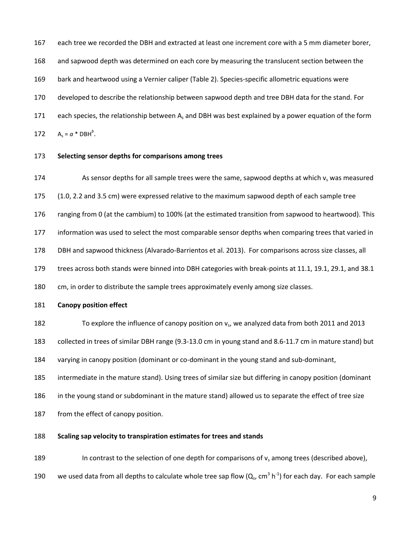each tree we recorded the DBH and extracted at least one increment core with a 5 mm diameter borer,

and sapwood depth was determined on each core by measuring the translucent section between the

bark and heartwood using a Vernier caliper (Table 2). Species-specific allometric equations were

developed to describe the relationship between sapwood depth and tree DBH data for the stand. For

171 each species, the relationship between A<sub>s</sub> and DBH was best explained by a power equation of the form

172  $A_s = a * DBH^b$ .

**Selecting sensor depths for comparisons among trees**

174 As sensor depths for all sample trees were the same, sapwood depths at which  $v_s$  was measured

(1.0, 2.2 and 3.5 cm) were expressed relative to the maximum sapwood depth of each sample tree

176 ranging from 0 (at the cambium) to 100% (at the estimated transition from sapwood to heartwood). This

information was used to select the most comparable sensor depths when comparing trees that varied in

DBH and sapwood thickness (Alvarado-Barrientos et al. 2013). For comparisons across size classes, all

trees across both stands were binned into DBH categories with break-points at 11.1, 19.1, 29.1, and 38.1

cm, in order to distribute the sample trees approximately evenly among size classes.

# **Canopy position effect**

182 To explore the influence of canopy position on v<sub>s</sub>, we analyzed data from both 2011 and 2013

collected in trees of similar DBH range (9.3-13.0 cm in young stand and 8.6-11.7 cm in mature stand) but

varying in canopy position (dominant or co-dominant in the young stand and sub-dominant,

intermediate in the mature stand). Using trees of similar size but differing in canopy position (dominant

in the young stand or subdominant in the mature stand) allowed us to separate the effect of tree size

187 from the effect of canopy position.

# **Scaling sap velocity to transpiration estimates for trees and stands**

189 In contrast to the selection of one depth for comparisons of  $v_s$  among trees (described above),

190 be used data from all depths to calculate whole tree sap flow  $(Q_s, cm^3 h^{-1})$  for each day. For each sample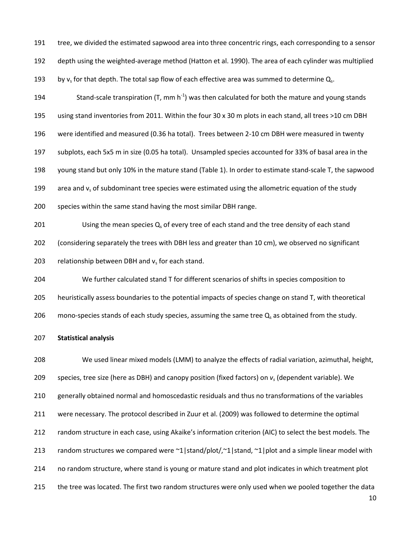tree, we divided the estimated sapwood area into three concentric rings, each corresponding to a sensor

depth using the weighted-average method (Hatton et al. 1990). The area of each cylinder was multiplied

193 by v<sub>s</sub> for that depth. The total sap flow of each effective area was summed to determine  $Q_s$ .

194 Stand-scale transpiration (T, mm  $h^{-1}$ ) was then calculated for both the mature and young stands

using stand inventories from 2011. Within the four 30 x 30 m plots in each stand, all trees >10 cm DBH

were identified and measured (0.36 ha total). Trees between 2-10 cm DBH were measured in twenty

subplots, each 5x5 m in size (0.05 ha total). Unsampled species accounted for 33% of basal area in the

young stand but only 10% in the mature stand (Table 1). In order to estimate stand-scale T, the sapwood

199 area and  $v_s$  of subdominant tree species were estimated using the allometric equation of the study

species within the same stand having the most similar DBH range.

201 Using the mean species  $Q_s$  of every tree of each stand and the tree density of each stand (considering separately the trees with DBH less and greater than 10 cm), we observed no significant 203 relationship between DBH and  $v_s$  for each stand.

 We further calculated stand T for different scenarios of shifts in species composition to heuristically assess boundaries to the potential impacts of species change on stand T, with theoretical 206 mono-species stands of each study species, assuming the same tree  $Q_s$  as obtained from the study.

#### **Statistical analysis**

 We used linear mixed models (LMM) to analyze the effects of radial variation, azimuthal, height, species, tree size (here as DBH) and canopy position (fixed factors) on *v<sup>s</sup>* (dependent variable). We generally obtained normal and homoscedastic residuals and thus no transformations of the variables were necessary. The protocol described in Zuur et al. (2009) was followed to determine the optimal random structure in each case, using Akaike's information criterion (AIC) to select the best models. The 213 random structures we compared were  $\alpha$ 1|stand/plot/, $\alpha$ 1|stand,  $\alpha$ 1|plot and a simple linear model with no random structure, where stand is young or mature stand and plot indicates in which treatment plot 215 the tree was located. The first two random structures were only used when we pooled together the data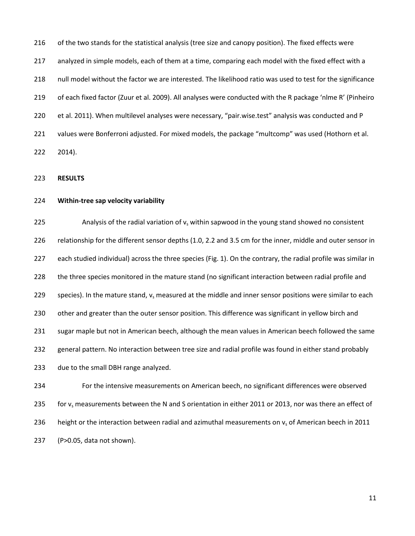216 of the two stands for the statistical analysis (tree size and canopy position). The fixed effects were analyzed in simple models, each of them at a time, comparing each model with the fixed effect with a null model without the factor we are interested. The likelihood ratio was used to test for the significance of each fixed factor (Zuur et al. 2009). All analyses were conducted with the R package 'nlme R' (Pinheiro et al. 2011). When multilevel analyses were necessary, "pair.wise.test" analysis was conducted and P values were Bonferroni adjusted. For mixed models, the package "multcomp" was used (Hothorn et al. 2014).

**RESULTS**

# **Within-tree sap velocity variability**

225 Analysis of the radial variation of  $v_s$  within sapwood in the young stand showed no consistent relationship for the different sensor depths (1.0, 2.2 and 3.5 cm for the inner, middle and outer sensor in each studied individual) across the three species (Fig. 1). On the contrary, the radial profile was similar in the three species monitored in the mature stand (no significant interaction between radial profile and 229 species). In the mature stand,  $v_s$  measured at the middle and inner sensor positions were similar to each 230 other and greater than the outer sensor position. This difference was significant in yellow birch and sugar maple but not in American beech, although the mean values in American beech followed the same general pattern. No interaction between tree size and radial profile was found in either stand probably due to the small DBH range analyzed. For the intensive measurements on American beech, no significant differences were observed 235 for  $v_s$  measurements between the N and S orientation in either 2011 or 2013, nor was there an effect of

236 height or the interaction between radial and azimuthal measurements on  $v_s$  of American beech in 2011

(P>0.05, data not shown).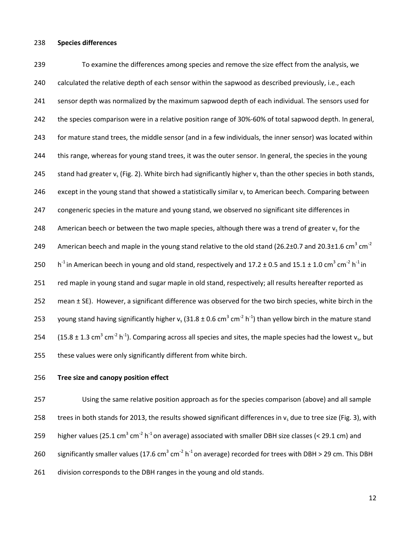### 238 **Species differences**

239 To examine the differences among species and remove the size effect from the analysis, we 240 calculated the relative depth of each sensor within the sapwood as described previously, i.e., each 241 sensor depth was normalized by the maximum sapwood depth of each individual. The sensors used for 242 the species comparison were in a relative position range of 30%-60% of total sapwood depth. In general, 243 for mature stand trees, the middle sensor (and in a few individuals, the inner sensor) was located within 244 this range, whereas for young stand trees, it was the outer sensor. In general, the species in the young 245 stand had greater  $v_s$  (Fig. 2). White birch had significantly higher  $v_s$  than the other species in both stands, 246 except in the young stand that showed a statistically similar  $v_s$  to American beech. Comparing between 247 congeneric species in the mature and young stand, we observed no significant site differences in 248 American beech or between the two maple species, although there was a trend of greater  $v_s$  for the American beech and maple in the young stand relative to the old stand (26.2±0.7 and 20.3±1.6 cm<sup>3</sup> cm<sup>-2</sup> 249 250 h<sup>-1</sup> in American beech in young and old stand, respectively and 17.2  $\pm$  0.5 and 15.1  $\pm$  1.0 cm<sup>3</sup> cm<sup>-2</sup> h<sup>-1</sup> in 251 red maple in young stand and sugar maple in old stand, respectively; all results hereafter reported as 252 mean ± SE). However, a significant difference was observed for the two birch species, white birch in the 253 young stand having significantly higher v<sub>s</sub> (31.8 ± 0.6 cm<sup>3</sup> cm<sup>-2</sup> h<sup>-1</sup>) than yellow birch in the mature stand 254 (15.8  $\pm$  1.3 cm<sup>3</sup> cm<sup>-2</sup> h<sup>-1</sup>). Comparing across all species and sites, the maple species had the lowest v<sub>s</sub>, but 255 these values were only significantly different from white birch.

# 256 **Tree size and canopy position effect**

257 Using the same relative position approach as for the species comparison (above) and all sample 258 trees in both stands for 2013, the results showed significant differences in  $v<sub>s</sub>$  due to tree size (Fig. 3), with 259 higher values (25.1 cm<sup>3</sup> cm<sup>-2</sup> h<sup>-1</sup> on average) associated with smaller DBH size classes (< 29.1 cm) and 260 significantly smaller values (17.6 cm<sup>3</sup> cm<sup>-2</sup> h<sup>-1</sup> on average) recorded for trees with DBH > 29 cm. This DBH 261 division corresponds to the DBH ranges in the young and old stands.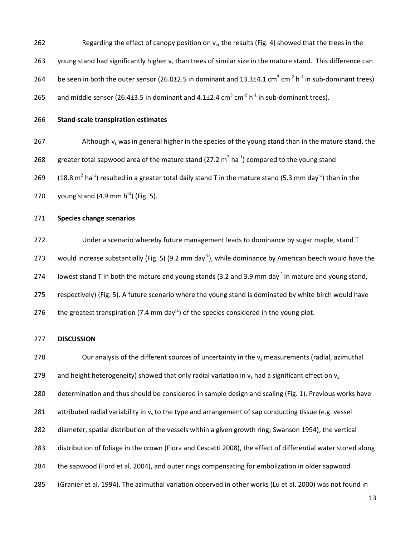- 262 Regarding the effect of canopy position on  $v_s$ , the results (Fig. 4) showed that the trees in the
- 263 young stand had significantly higher  $v_s$  than trees of similar size in the mature stand. This difference can
- 264 be seen in both the outer sensor (26.0 $\pm$ 2.5 in dominant and 13.3 $\pm$ 4.1 cm<sup>3</sup> cm<sup>-2</sup> h<sup>-1</sup> in sub-dominant trees)
- 265 and middle sensor (26.4 $\pm$ 3.5 in dominant and 4.1 $\pm$ 2.4 cm<sup>3</sup> cm<sup>-2</sup> h<sup>-1</sup> in sub-dominant trees).
- 

# 266 **Stand-scale transpiration estimates**

- 267 Although  $v_s$  was in general higher in the species of the young stand than in the mature stand, the 268 greater total sapwood area of the mature stand (27.2  $m^2$  ha<sup>-1</sup>) compared to the young stand 269 (18.8 m<sup>2</sup> ha<sup>-1</sup>) resulted in a greater total daily stand T in the mature stand (5.3 mm day<sup>-1</sup>) than in the 270 young stand (4.9 mm  $h^{-1}$ ) (Fig. 5).
- 271 **Species change scenarios**

272 Under a scenario whereby future management leads to dominance by sugar maple, stand T 273 vould increase substantially (Fig. 5) (9.2 mm day<sup>-1</sup>), while dominance by American beech would have the 274 Iowest stand T in both the mature and young stands (3.2 and 3.9 mm day<sup>-1</sup> in mature and young stand, 275 respectively) (Fig. 5). A future scenario where the young stand is dominated by white birch would have 276 the greatest transpiration (7.4 mm day<sup>-1</sup>) of the species considered in the young plot.

# 277 **DISCUSSION**

278 Our analysis of the different sources of uncertainty in the  $v_s$  measurements (radial, azimuthal 279 and height heterogeneity) showed that only radial variation in  $v_s$  had a significant effect on  $v_s$  determination and thus should be considered in sample design and scaling (Fig. 1). Previous works have 281 attributed radial variability in  $v_s$  to the type and arrangement of sap conducting tissue (e.g. vessel diameter, spatial distribution of the vessels within a given growth ring; Swanson 1994), the vertical distribution of foliage in the crown (Fiora and Cescatti 2008), the effect of differential water stored along the sapwood (Ford et al. 2004), and outer rings compensating for embolization in older sapwood (Granier et al. 1994). The azimuthal variation observed in other works (Lu et al. 2000) was not found in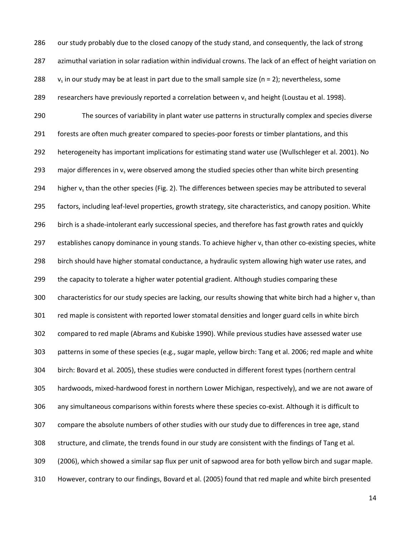286 our study probably due to the closed canopy of the study stand, and consequently, the lack of strong azimuthal variation in solar radiation within individual crowns. The lack of an effect of height variation on  $v_s$  in our study may be at least in part due to the small sample size (n = 2); nevertheless, some 289 researchers have previously reported a correlation between  $v_s$  and height (Loustau et al. 1998). The sources of variability in plant water use patterns in structurally complex and species diverse forests are often much greater compared to species-poor forests or timber plantations, and this heterogeneity has important implications for estimating stand water use (Wullschleger et al. 2001). No 293 major differences in  $v_s$  were observed among the studied species other than white birch presenting 294 higher  $v_s$  than the other species (Fig. 2). The differences between species may be attributed to several factors, including leaf-level properties, growth strategy, site characteristics, and canopy position. White 296 birch is a shade-intolerant early successional species, and therefore has fast growth rates and quickly 297 establishes canopy dominance in young stands. To achieve higher  $v_s$  than other co-existing species, white birch should have higher stomatal conductance, a hydraulic system allowing high water use rates, and 299 the capacity to tolerate a higher water potential gradient. Although studies comparing these 300 characteristics for our study species are lacking, our results showing that white birch had a higher  $v_s$  than red maple is consistent with reported lower stomatal densities and longer guard cells in white birch compared to red maple (Abrams and Kubiske 1990). While previous studies have assessed water use patterns in some of these species (e.g., sugar maple, yellow birch: Tang et al. 2006; red maple and white birch: Bovard et al. 2005), these studies were conducted in different forest types (northern central hardwoods, mixed-hardwood forest in northern Lower Michigan, respectively), and we are not aware of any simultaneous comparisons within forests where these species co-exist. Although it is difficult to compare the absolute numbers of other studies with our study due to differences in tree age, stand structure, and climate, the trends found in our study are consistent with the findings of Tang et al. (2006), which showed a similar sap flux per unit of sapwood area for both yellow birch and sugar maple. However, contrary to our findings, Bovard et al. (2005) found that red maple and white birch presented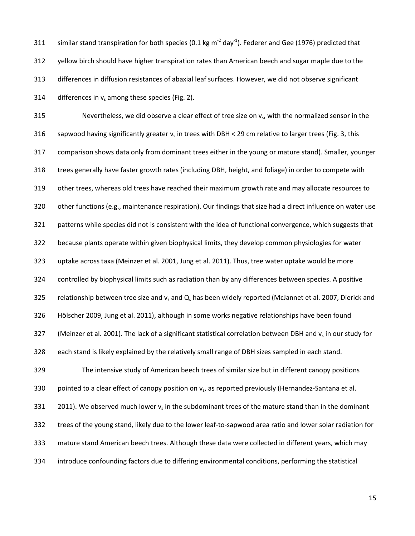311 similar stand transpiration for both species (0.1 kg m<sup>-2</sup> day<sup>-1</sup>). Federer and Gee (1976) predicted that yellow birch should have higher transpiration rates than American beech and sugar maple due to the differences in diffusion resistances of abaxial leaf surfaces. However, we did not observe significant 314 differences in  $v_s$  among these species (Fig. 2).

315 Nevertheless, we did observe a clear effect of tree size on  $v<sub>s</sub>$ , with the normalized sensor in the 316 sapwood having significantly greater  $v_s$  in trees with DBH < 29 cm relative to larger trees (Fig. 3, this comparison shows data only from dominant trees either in the young or mature stand). Smaller, younger trees generally have faster growth rates (including DBH, height, and foliage) in order to compete with other trees, whereas old trees have reached their maximum growth rate and may allocate resources to other functions (e.g., maintenance respiration). Our findings that size had a direct influence on water use patterns while species did not is consistent with the idea of functional convergence, which suggests that because plants operate within given biophysical limits, they develop common physiologies for water uptake across taxa (Meinzer et al. 2001, Jung et al. 2011). Thus, tree water uptake would be more controlled by biophysical limits such as radiation than by any differences between species. A positive 325 relationship between tree size and  $v_s$  and  $Q_s$  has been widely reported (McJannet et al. 2007, Dierick and Hölscher 2009, Jung et al. 2011), although in some works negative relationships have been found 327 (Meinzer et al. 2001). The lack of a significant statistical correlation between DBH and  $v_s$  in our study for each stand is likely explained by the relatively small range of DBH sizes sampled in each stand. The intensive study of American beech trees of similar size but in different canopy positions

330 pointed to a clear effect of canopy position on v., as reported previously (Hernandez-Santana et al.

2011). We observed much lower  $v_s$  in the subdominant trees of the mature stand than in the dominant

trees of the young stand, likely due to the lower leaf-to-sapwood area ratio and lower solar radiation for

- mature stand American beech trees. Although these data were collected in different years, which may
- introduce confounding factors due to differing environmental conditions, performing the statistical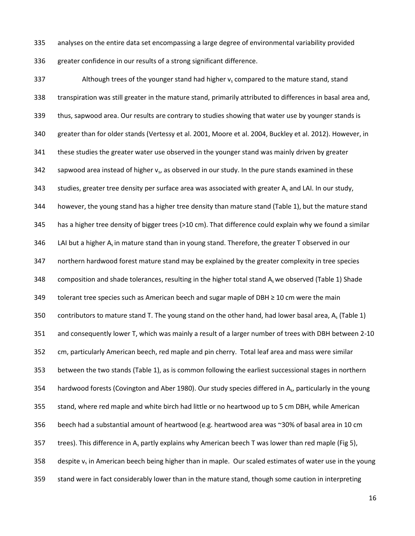analyses on the entire data set encompassing a large degree of environmental variability provided greater confidence in our results of a strong significant difference.

337 Although trees of the younger stand had higher  $v_s$  compared to the mature stand, stand transpiration was still greater in the mature stand, primarily attributed to differences in basal area and, thus, sapwood area. Our results are contrary to studies showing that water use by younger stands is greater than for older stands (Vertessy et al. 2001, Moore et al. 2004, Buckley et al. 2012). However, in 341 these studies the greater water use observed in the younger stand was mainly driven by greater sapwood area instead of higher  $v_s$ , as observed in our study. In the pure stands examined in these 343 studies, greater tree density per surface area was associated with greater A, and LAI. In our study, however, the young stand has a higher tree density than mature stand (Table 1), but the mature stand has a higher tree density of bigger trees (>10 cm). That difference could explain why we found a similar 346 LAI but a higher  $A_s$  in mature stand than in young stand. Therefore, the greater T observed in our northern hardwood forest mature stand may be explained by the greater complexity in tree species 348 composition and shade tolerances, resulting in the higher total stand  $A_s$  we observed (Table 1) Shade tolerant tree species such as American beech and sugar maple of DBH ≥ 10 cm were the main 350 contributors to mature stand T. The young stand on the other hand, had lower basal area,  $A_s$  (Table 1) and consequently lower T, which was mainly a result of a larger number of trees with DBH between 2-10 cm, particularly American beech, red maple and pin cherry. Total leaf area and mass were similar between the two stands (Table 1), as is common following the earliest successional stages in northern 354 hardwood forests (Covington and Aber 1980). Our study species differed in As, particularly in the young stand, where red maple and white birch had little or no heartwood up to 5 cm DBH, while American beech had a substantial amount of heartwood (e.g. heartwood area was ~30% of basal area in 10 cm 357 trees). This difference in A<sub>s</sub> partly explains why American beech T was lower than red maple (Fig 5), 358 despite  $v_s$  in American beech being higher than in maple. Our scaled estimates of water use in the young stand were in fact considerably lower than in the mature stand, though some caution in interpreting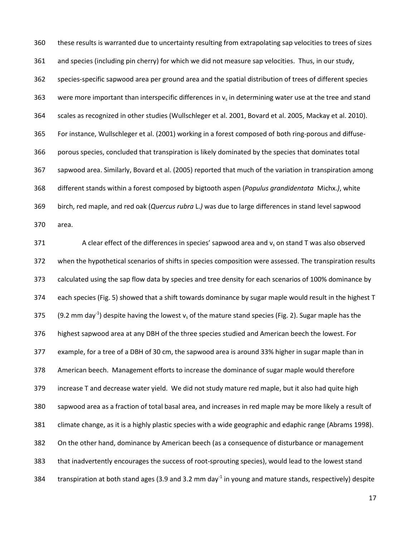these results is warranted due to uncertainty resulting from extrapolating sap velocities to trees of sizes and species (including pin cherry) for which we did not measure sap velocities. Thus, in our study, species-specific sapwood area per ground area and the spatial distribution of trees of different species 363 were more important than interspecific differences in  $v_s$  in determining water use at the tree and stand scales as recognized in other studies (Wullschleger et al. 2001, Bovard et al. 2005, Mackay et al. 2010). For instance, Wullschleger et al. (2001) working in a forest composed of both ring-porous and diffuse- porous species, concluded that transpiration is likely dominated by the species that dominates total sapwood area. Similarly, Bovard et al. (2005) reported that much of the variation in transpiration among different stands within a forest composed by bigtooth aspen (*Populus grandidentata* Michx.*)*, white birch, red maple, and red oak (*Quercus rubra* L.*)* was due to large differences in stand level sapwood area.

371 A clear effect of the differences in species' sapwood area and  $v_s$  on stand T was also observed when the hypothetical scenarios of shifts in species composition were assessed. The transpiration results calculated using the sap flow data by species and tree density for each scenarios of 100% dominance by each species (Fig. 5) showed that a shift towards dominance by sugar maple would result in the highest T 375 (9.2 mm day<sup>-1</sup>) despite having the lowest v<sub>s</sub> of the mature stand species (Fig. 2). Sugar maple has the highest sapwood area at any DBH of the three species studied and American beech the lowest. For example, for a tree of a DBH of 30 cm, the sapwood area is around 33% higher in sugar maple than in American beech. Management efforts to increase the dominance of sugar maple would therefore increase T and decrease water yield. We did not study mature red maple, but it also had quite high sapwood area as a fraction of total basal area, and increases in red maple may be more likely a result of climate change, as it is a highly plastic species with a wide geographic and edaphic range (Abrams 1998). On the other hand, dominance by American beech (as a consequence of disturbance or management that inadvertently encourages the success of root-sprouting species), would lead to the lowest stand 384 transpiration at both stand ages (3.9 and 3.2 mm day<sup>-1</sup> in young and mature stands, respectively) despite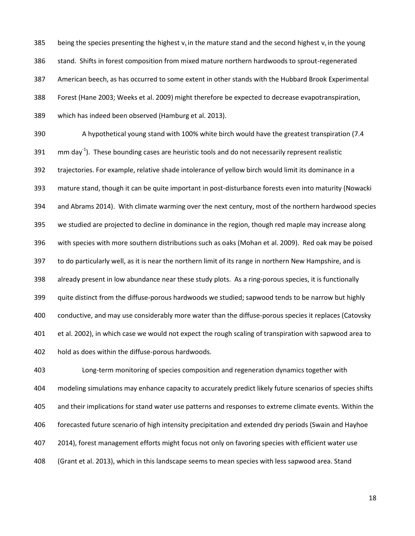385 being the species presenting the highest  $v_s$  in the mature stand and the second highest  $v_s$  in the young

stand. Shifts in forest composition from mixed mature northern hardwoods to sprout-regenerated

American beech, as has occurred to some extent in other stands with the Hubbard Brook Experimental

Forest (Hane 2003; Weeks et al. 2009) might therefore be expected to decrease evapotranspiration,

which has indeed been observed (Hamburg et al. 2013).

 A hypothetical young stand with 100% white birch would have the greatest transpiration (7.4  $\,$  mm day<sup>-1</sup>). These bounding cases are heuristic tools and do not necessarily represent realistic trajectories. For example, relative shade intolerance of yellow birch would limit its dominance in a mature stand, though it can be quite important in post-disturbance forests even into maturity (Nowacki and Abrams 2014). With climate warming over the next century, most of the northern hardwood species we studied are projected to decline in dominance in the region, though red maple may increase along with species with more southern distributions such as oaks (Mohan et al. 2009). Red oak may be poised to do particularly well, as it is near the northern limit of its range in northern New Hampshire, and is already present in low abundance near these study plots. As a ring-porous species, it is functionally quite distinct from the diffuse-porous hardwoods we studied; sapwood tends to be narrow but highly conductive, and may use considerably more water than the diffuse-porous species it replaces (Catovsky et al. 2002), in which case we would not expect the rough scaling of transpiration with sapwood area to hold as does within the diffuse-porous hardwoods.

 Long-term monitoring of species composition and regeneration dynamics together with modeling simulations may enhance capacity to accurately predict likely future scenarios of species shifts and their implications for stand water use patterns and responses to extreme climate events. Within the forecasted future scenario of high intensity precipitation and extended dry periods (Swain and Hayhoe 2014), forest management efforts might focus not only on favoring species with efficient water use (Grant et al. 2013), which in this landscape seems to mean species with less sapwood area. Stand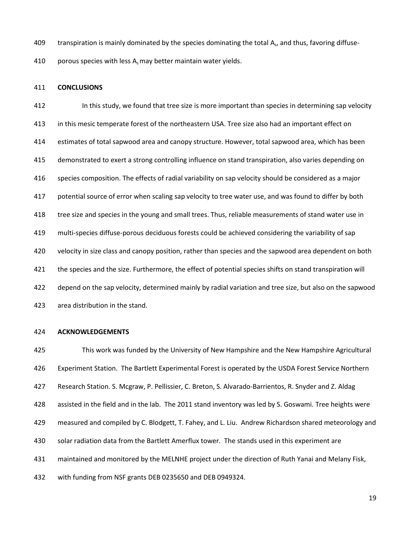409 transpiration is mainly dominated by the species dominating the total  $A<sub>s</sub>$ , and thus, favoring diffuse-

410 porous species with less  $A_s$  may better maintain water yields.

#### **CONCLUSIONS**

 In this study, we found that tree size is more important than species in determining sap velocity in this mesic temperate forest of the northeastern USA. Tree size also had an important effect on estimates of total sapwood area and canopy structure. However, total sapwood area, which has been demonstrated to exert a strong controlling influence on stand transpiration, also varies depending on species composition. The effects of radial variability on sap velocity should be considered as a major potential source of error when scaling sap velocity to tree water use, and was found to differ by both tree size and species in the young and small trees. Thus, reliable measurements of stand water use in multi-species diffuse-porous deciduous forests could be achieved considering the variability of sap 420 velocity in size class and canopy position, rather than species and the sapwood area dependent on both the species and the size. Furthermore, the effect of potential species shifts on stand transpiration will depend on the sap velocity, determined mainly by radial variation and tree size, but also on the sapwood area distribution in the stand.

# **ACKNOWLEDGEMENTS**

 This work was funded by the University of New Hampshire and the New Hampshire Agricultural Experiment Station. The Bartlett Experimental Forest is operated by the USDA Forest Service Northern Research Station. S. Mcgraw, P. Pellissier, C. Breton, S. Alvarado-Barrientos, R. Snyder and Z. Aldag assisted in the field and in the lab. The 2011 stand inventory was led by S. Goswami. Tree heights were measured and compiled by C. Blodgett, T. Fahey, and L. Liu. Andrew Richardson shared meteorology and solar radiation data from the Bartlett Amerflux tower. The stands used in this experiment are maintained and monitored by the MELNHE project under the direction of Ruth Yanai and Melany Fisk, with funding from NSF grants DEB 0235650 and DEB 0949324.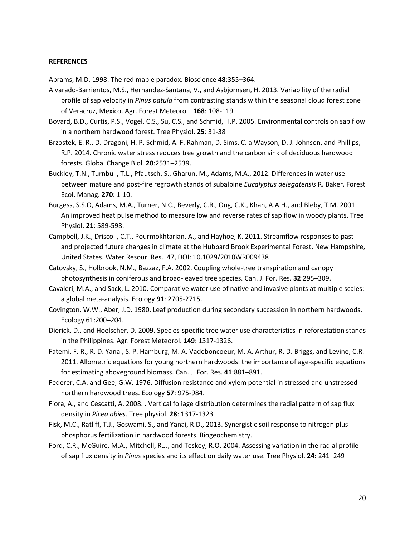#### **REFERENCES**

Abrams, M.D. 1998. The red maple paradox. Bioscience **48**:355–364.

- Alvarado-Barrientos, M.S., Hernandez-Santana, V., and Asbjornsen, H. 2013. [Variability of the radial](http://www.sciencedirect.com/science/article/pii/S0168192312002560)  profile of sap velocity in *Pinus patula* [from contrasting stands within the seasonal cloud forest zone](http://www.sciencedirect.com/science/article/pii/S0168192312002560)  [of Veracruz, Mexico.](http://www.sciencedirect.com/science/article/pii/S0168192312002560) Agr. Forest Meteorol. **168**: 108-119
- Bovard, B.D., Curtis, P.S., Vogel, C.S., Su, C.S., and Schmid, H.P. 2005. Environmental controls on sap flow in a northern hardwood forest. Tree Physiol. **25**: 31-38
- Brzostek, E. R., D. Dragoni, H. P. Schmid, A. F. Rahman, D. Sims, C. a Wayson, D. J. Johnson, and Phillips, R.P. 2014. Chronic water stress reduces tree growth and the carbon sink of deciduous hardwood forests. Global Change Biol. **20**:2531–2539.
- Buckley, T.N., Turnbull, T.L., Pfautsch, S., Gharun, M., Adams, M.A., 2012. Differences in water use between mature and post-fire regrowth stands of subalpine *Eucalyptus delegatensis* R. Baker. Forest Ecol. Manag. **270**: 1-10.
- Burgess, S.S.O, Adams, M.A., Turner, N.C., Beverly, C.R., Ong, C.K., Khan, A.A.H., and Bleby, T.M. 2001. An improved heat pulse method to measure low and reverse rates of sap flow in woody plants. Tree Physiol. **21**: 589-598.
- Campbell, J.K., Driscoll, C.T., Pourmokhtarian, A., and Hayhoe, K. 2011. Streamflow responses to past and projected future changes in climate at the Hubbard Brook Experimental Forest, New Hampshire, United States. Water Resour. Res. 47, DOI: 10.1029/2010WR009438
- Catovsky, S., Holbrook, N.M., Bazzaz, F.A. 2002. Coupling whole-tree transpiration and canopy photosynthesis in coniferous and broad-leaved tree species. Can. J. For. Res. **32**:295–309.
- Cavaleri, M.A., and Sack, L. 2010. Comparative water use of native and invasive plants at multiple scales: a global meta-analysis. Ecology **91**: 2705-2715.
- Covington, W.W., Aber, J.D. 1980. Leaf production during secondary succession in northern hardwoods. Ecology 61:200–204.
- Dierick, D., and Hoelscher, D. 2009. Species-specific tree water use characteristics in reforestation stands in the Philippines. Agr. Forest Meteorol. **149**: 1317-1326.
- Fatemi, F. R., R. D. Yanai, S. P. Hamburg, M. A. Vadeboncoeur, M. A. Arthur, R. D. Briggs, and Levine, C.R. 2011. Allometric equations for young northern hardwoods: the importance of age-specific equations for estimating aboveground biomass. Can. J. For. Res. **41**:881–891.
- Federer, C.A. and Gee, G.W. 1976. Diffusion resistance and xylem potential in stressed and unstressed northern hardwood trees. Ecology **57**: 975-984.
- Fiora, A., and Cescatti, A. 2008. . Vertical foliage distribution determines the radial pattern of sap flux density in *Picea abies*. Tree physiol. **28**: 1317-1323
- Fisk, M.C., Ratliff, T.J., Goswami, S., and Yanai, R.D., 2013. Synergistic soil response to nitrogen plus phosphorus fertilization in hardwood forests. Biogeochemistry.
- Ford, C.R., McGuire, M.A., Mitchell, R.J., and Teskey, R.O. 2004. Assessing variation in the radial profile of sap flux density in *Pinus* species and its effect on daily water use. Tree Physiol. **24**: 241–249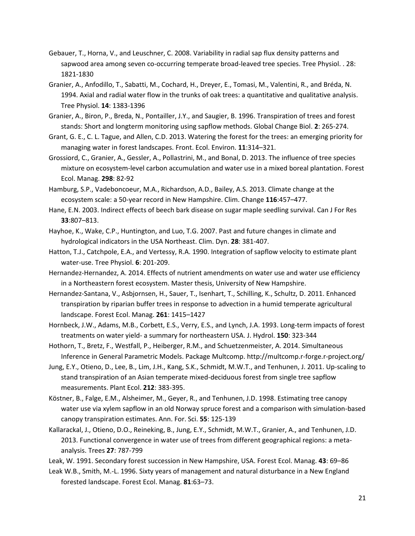- Gebauer, T., Horna, V., and Leuschner, C. 2008. Variability in radial sap flux density patterns and sapwood area among seven co-occurring temperate broad-leaved tree species. Tree Physiol. . 28: 1821-1830
- Granier, A., Anfodillo, T., Sabatti, M., Cochard, H., Dreyer, E., Tomasi, M., Valentini, R., and Bréda, N. 1994. Axial and radial water flow in the trunks of oak trees: a quantitative and qualitative analysis. Tree Physiol. **14**: 1383-1396
- Granier, A., Biron, P., Breda, N., Pontailler, J.Y., and Saugier, B. 1996. Transpiration of trees and forest stands: Short and longterm monitoring using sapflow methods. Global Change Biol. **2**: 265-274.
- Grant, G. E., C. L. Tague, and Allen, C.D. 2013. Watering the forest for the trees: an emerging priority for managing water in forest landscapes. Front. Ecol. Environ. **11**:314–321.
- Grossiord, C., Granier, A., Gessler, A., Pollastrini, M., and Bonal, D. 2013. The influence of tree species mixture on ecosystem-level carbon accumulation and water use in a mixed boreal plantation. Forest Ecol. Manag. **298**: 82-92
- Hamburg, S.P., Vadeboncoeur, M.A., Richardson, A.D., Bailey, A.S. 2013. Climate change at the ecosystem scale: a 50-year record in New Hampshire. Clim. Change **116**:457–477.
- Hane, E.N. 2003. Indirect effects of beech bark disease on sugar maple seedling survival. Can J For Res **33**:807–813.
- Hayhoe, K., Wake, C.P., Huntington, and Luo, T.G. 2007. Past and future changes in climate and hydrological indicators in the USA Northeast. Clim. Dyn. **28**: 381-407.
- Hatton, T.J., Catchpole, E.A., and Vertessy, R.A. 1990. Integration of sapflow velocity to estimate plant water-use. Tree Physiol. **6**: 201-209.
- Hernandez-Hernandez, A. 2014. Effects of nutrient amendments on water use and water use efficiency in a Northeastern forest ecosystem. Master thesis, University of New Hampshire.
- Hernandez-Santana, V., Asbjornsen, H., Sauer, T., Isenhart, T., Schilling, K., Schultz, D. 2011. Enhanced transpiration by riparian buffer trees in response to advection in a humid temperate agricultural landscape. Forest Ecol. Manag. **261**: 1415–1427
- Hornbeck, J.W., Adams, M.B., Corbett, E.S., Verry, E.S., and Lynch, J.A. 1993. Long-term impacts of forest treatments on water yield- a summary for northeastern USA. J. Hydrol. **150**: 323-344
- Hothorn, T., Bretz, F., Westfall, P., Heiberger, R.M., and Schuetzenmeister, A. 2014. Simultaneous Inference in General Parametric Models. Package Multcomp. http://multcomp.r-forge.r-project.org/
- Jung, E.Y., Otieno, D., Lee, B., Lim, J.H., Kang, S.K., Schmidt, M.W.T., and Tenhunen, J. 2011. Up-scaling to stand transpiration of an Asian temperate mixed-deciduous forest from single tree sapflow measurements. Plant Ecol. **212**: 383-395.
- Köstner, B., Falge, E.M., Alsheimer, M., Geyer, R., and Tenhunen, J.D. 1998. Estimating tree canopy water use via xylem sapflow in an old Norway spruce forest and a comparison with simulation-based canopy transpiration estimates. Ann. For. Sci. **55**: 125-139
- Kallarackal, J., Otieno, D.O., Reineking, B., Jung, E.Y., Schmidt, M.W.T., Granier, A., and Tenhunen, J.D. 2013. Functional convergence in water use of trees from different geographical regions: a metaanalysis. Trees **27**: 787-799
- Leak, W. 1991. Secondary forest succession in New Hampshire, USA. Forest Ecol. Manag. **43**: 69–86
- Leak W.B., Smith, M.-L. 1996. Sixty years of management and natural disturbance in a New England forested landscape. Forest Ecol. Manag. **81**:63–73.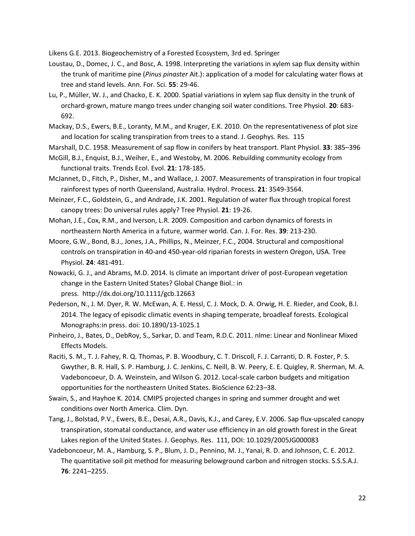Likens G.E. 2013. Biogeochemistry of a Forested Ecosystem, 3rd ed. Springer

- Loustau, D., Domec, J. C., and Bosc, A. 1998. Interpreting the variations in xylem sap flux density within the trunk of maritime pine (*Pinus pinaster* Ait.): application of a model for calculating water flows at tree and stand levels. Ann. For. Sci. **55**: 29-46.
- Lu, P., Müller, W. J., and Chacko, E. K. 2000. Spatial variations in xylem sap flux density in the trunk of orchard-grown, mature mango trees under changing soil water conditions. Tree Physiol. **20**: 683- 692.
- Mackay, D.S., Ewers, B.E., Loranty, M.M., and Kruger, E.K. 2010. On the representativeness of plot size and location for scaling transpiration from trees to a stand. J. Geophys. Res. 115

Marshall, D.C. 1958. Measurement of sap flow in conifers by heat transport. Plant Physiol. **33**: 385–396

- McGill, B.J., Enquist, B.J., Weiher, E., and Westoby, M. 2006. Rebuilding community ecology from functional traits. Trends Ecol. Evol. **21**: 178-185.
- McJannet, D., Fitch, P., Disher, M., and Wallace, J. 2007. Measurements of transpiration in four tropical rainforest types of north Queensland, Australia. Hydrol. Process. **21**: 3549-3564.
- Meinzer, F.C., Goldstein, G., and Andrade, J.K. 2001. Regulation of water flux through tropical forest canopy trees: Do universal rules apply? Tree Physiol. **21**: 19-26.
- Mohan, J.E., Cox, R.M., and Iverson, L.R. 2009. Composition and carbon dynamics of forests in northeastern North America in a future, warmer world. Can. J. For. Res. **39**: 213-230.
- Moore, G.W., Bond, B.J., Jones, J.A., Phillips, N., Meinzer, F.C., 2004. Structural and compositional controls on transpiration in 40-and 450-year-old riparian forests in western Oregon, USA. Tree Physiol. **24**: 481-491.
- Nowacki, G. J., and Abrams, M.D. 2014. Is climate an important driver of post-European vegetation change in the Eastern United States? Global Change Biol.: in press. <http://dx.doi.org/10.1111/gcb.12663>
- Pederson, N., J. M. Dyer, R. W. McEwan, A. E. Hessl, C. J. Mock, D. A. Orwig, H. E. Rieder, and Cook, B.I. 2014. The legacy of episodic climatic events in shaping temperate, broadleaf forests. Ecological Monographs:in press. doi: 10.1890/13-1025.1
- Pinheiro, J., Bates, D., DebRoy, S., Sarkar, D. and Team, R.D.C. 2011. nlme: Linear and Nonlinear Mixed Effects Models.
- Raciti, S. M., T. J. Fahey, R. Q. Thomas, P. B. Woodbury, C. T. Driscoll, F. J. Carranti, D. R. Foster, P. S. Gwyther, B. R. Hall, S. P. Hamburg, J. C. Jenkins, C. Neill, B. W. Peery, E. E. Quigley, R. Sherman, M. A. Vadeboncoeur, D. A. Weinstein, and Wilson G. 2012. Local-scale carbon budgets and mitigation opportunities for the northeastern United States. BioScience 62:23–38.
- Swain, S., and Hayhoe K. 2014. CMIP5 projected changes in spring and summer drought and wet conditions over North America. Clim. Dyn.
- Tang, J., Bolstad, P.V., Ewers, B.E., Desai, A.R., Davis, K.J., and Carey, E.V. 2006. Sap flux-upscaled canopy transpiration, stomatal conductance, and water use efficiency in an old growth forest in the Great Lakes region of the United States. J. Geophys. Res. 111, DOI: 10.1029/2005JG000083
- Vadeboncoeur, M. A., Hamburg, S. P., Blum, J. D., Pennino, M. J., Yanai, R. D. and Johnson, C. E. 2012. The quantitative soil pit method for measuring belowground carbon and nitrogen stocks. S.S.S.A.J. **76**: 2241–2255.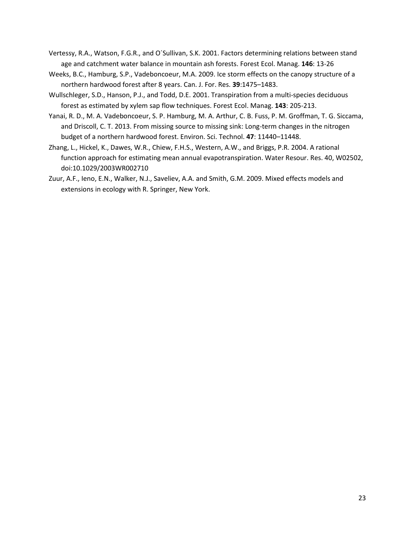- Vertessy, R.A., Watson, F.G.R., and O´Sullivan, S.K. 2001. Factors determining relations between stand age and catchment water balance in mountain ash forests. Forest Ecol. Manag. **146**: 13-26
- Weeks, B.C., Hamburg, S.P., Vadeboncoeur, M.A. 2009. Ice storm effects on the canopy structure of a northern hardwood forest after 8 years. Can. J. For. Res. **39**:1475–1483.
- Wullschleger, S.D., Hanson, P.J., and Todd, D.E. 2001. Transpiration from a multi-species deciduous forest as estimated by xylem sap flow techniques. Forest Ecol. Manag. **143**: 205-213.
- Yanai, R. D., M. A. Vadeboncoeur, S. P. Hamburg, M. A. Arthur, C. B. Fuss, P. M. Groffman, T. G. Siccama, and Driscoll, C. T. 2013. From missing source to missing sink: Long-term changes in the nitrogen budget of a northern hardwood forest. Environ. Sci. Technol. **47**: 11440–11448.
- Zhang, L., Hickel, K., Dawes, W.R., Chiew, F.H.S., Western, A.W., and Briggs, P.R. 2004. A rational function approach for estimating mean annual evapotranspiration. Water Resour. Res. 40, W02502, doi:10.1029/2003WR002710
- Zuur, A.F., Ieno, E.N., Walker, N.J., Saveliev, A.A. and Smith, G.M. 2009. Mixed effects models and extensions in ecology with R. Springer, New York.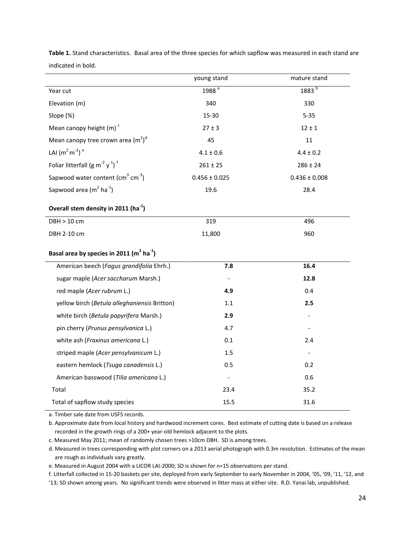|                                                          | young stand                  | mature stand      |  |  |  |  |
|----------------------------------------------------------|------------------------------|-------------------|--|--|--|--|
| Year cut                                                 | 1988 <sup>a</sup>            | $1883^{b}$        |  |  |  |  |
| Elevation (m)                                            | 340                          | 330               |  |  |  |  |
| Slope (%)                                                | 15-30                        | $5 - 35$          |  |  |  |  |
| Mean canopy height $(m)$ <sup>c</sup>                    | $27 \pm 3$                   | $12 \pm 1$        |  |  |  |  |
| Mean canopy tree crown area $(m^2)^d$                    | 45                           | 11                |  |  |  |  |
| LAI $(m^2 m^2)^e$                                        | $4.1 \pm 0.6$                | $4.4 \pm 0.2$     |  |  |  |  |
| Foliar litterfall (g $m^{-2} y^{-1}$ ) <sup>f</sup>      | $261 \pm 25$                 | $286 \pm 24$      |  |  |  |  |
| Sapwood water content ( $\text{cm}^3$ cm <sup>-3</sup> ) | $0.456 \pm 0.025$            | $0.436 \pm 0.008$ |  |  |  |  |
| Sapwood area $(m^2 \text{ ha}^{-1})$                     | 19.6                         | 28.4              |  |  |  |  |
| Overall stem density in 2011 (ha <sup>-1</sup> )         |                              |                   |  |  |  |  |
| <b>DBH &gt; 10 cm</b>                                    | 319                          | 496               |  |  |  |  |
| DBH 2-10 cm                                              | 11,800                       | 960               |  |  |  |  |
| Basal area by species in 2011 $(m^2 \text{ ha}^{-1})$    |                              |                   |  |  |  |  |
| American beech (Fagus grandifolia Ehrh.)                 | 7.8                          | 16.4              |  |  |  |  |
| sugar maple (Acer saccharum Marsh.)                      |                              | 12.8              |  |  |  |  |
| red maple (Acer rubrum L.)                               | 4.9                          | 0.4               |  |  |  |  |
| yellow birch (Betula alleghaniensis Britton)             | 1.1                          | 2.5               |  |  |  |  |
| white birch (Betula papyrifera Marsh.)                   | 2.9                          |                   |  |  |  |  |
| pin cherry (Prunus pensylvanica L.)                      | 4.7                          |                   |  |  |  |  |
| white ash (Fraxinus americana L.)                        | 0.1                          | 2.4               |  |  |  |  |
| striped maple (Acer pensylvanicum L.)                    | 1.5                          |                   |  |  |  |  |
| eastern hemlock (Tsuga canadensis L.)                    | 0.5                          | 0.2               |  |  |  |  |
| American basswood (Tilia americana L.)                   | $\qquad \qquad \blacksquare$ | 0.6               |  |  |  |  |
| Total                                                    | 23.4                         | 35.2              |  |  |  |  |
| Total of sapflow study species                           | 15.5                         | 31.6              |  |  |  |  |

**Table 1.** Stand characteristics. Basal area of the three species for which sapflow was measured in each stand are indicated in bold.

a. Timber sale date from USFS records.

b. Approximate date from local history and hardwood increment cores. Best estimate of cutting date is based on a release recorded in the growth rings of a 200+ year-old hemlock adjacent to the plots.

c. Measured May 2011; mean of randomly chosen trees >10cm DBH. SD is among trees.

d. Measured in trees corresponding with plot corners on a 2013 aerial photograph with 0.3m resolution. Estimates of the mean are rough as individuals vary greatly.

e. Measured in August 2004 with a LICOR LAI-2000; SD is shown for n=15 observations per stand.

f. Litterfall collected in 15-20 baskets per site, deployed from early September to early November in 2004, '05, '09, '11, '12, and '13; SD shown among years. No significant trends were observed in litter mass at either site. R.D. Yanai lab, unpublished.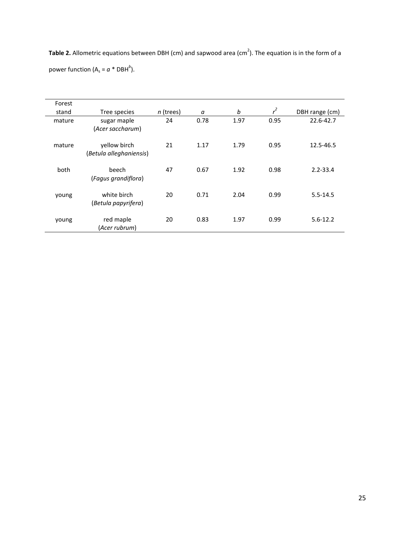**Table 2.** Allometric equations between DBH (cm) and sapwood area (cm<sup>2</sup>). The equation is in the form of a power function ( $A_s = a * DBH^b$ ).

| Forest |                                         |             |      |      |       |                |
|--------|-----------------------------------------|-------------|------|------|-------|----------------|
| stand  | Tree species                            | $n$ (trees) | а    | b    | $r^2$ | DBH range (cm) |
| mature | sugar maple<br>(Acer saccharum)         | 24          | 0.78 | 1.97 | 0.95  | 22.6-42.7      |
| mature | yellow birch<br>(Betula alleghaniensis) | 21          | 1.17 | 1.79 | 0.95  | 12.5-46.5      |
| both   | beech<br>(Fagus grandiflora)            | 47          | 0.67 | 1.92 | 0.98  | $2.2 - 33.4$   |
| young  | white birch<br>(Betula papyrifera)      | 20          | 0.71 | 2.04 | 0.99  | $5.5 - 14.5$   |
| young  | red maple<br>(Acer rubrum)              | 20          | 0.83 | 1.97 | 0.99  | $5.6 - 12.2$   |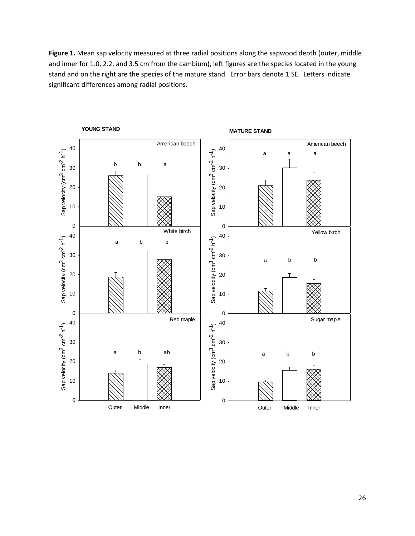Figure 1. Mean sap velocity measured at three radial positions along the sapwood depth (outer, middle and inner for 1.0, 2.2, and 3.5 cm from the cambium), left figures are the species located in the young stand and on the right are the species of the mature stand. Error bars denote 1 SE. Letters indicate significant differences among radial positions.

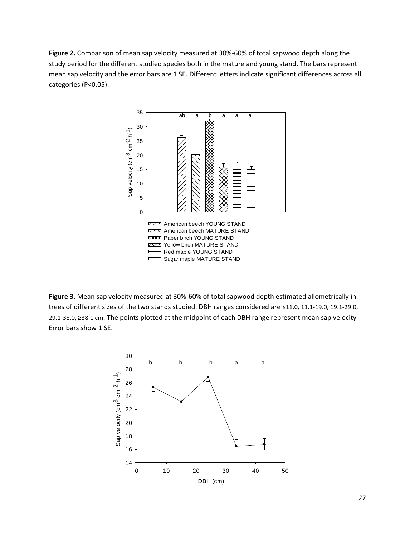**Figure 2.** Comparison of mean sap velocity measured at 30%-60% of total sapwood depth along the study period for the different studied species both in the mature and young stand. The bars represent mean sap velocity and the error bars are 1 SE. Different letters indicate significant differences across all categories (P<0.05).



**Figure 3.** Mean sap velocity measured at 30%-60% of total sapwood depth estimated allometrically in trees of different sizes of the two stands studied. DBH ranges considered are ≤11.0, 11.1-19.0, 19.1-29.0, 29.1-38.0, ≥38.1 cm. The points plotted at the midpoint of each DBH range represent mean sap velocity Error bars show 1 SE.